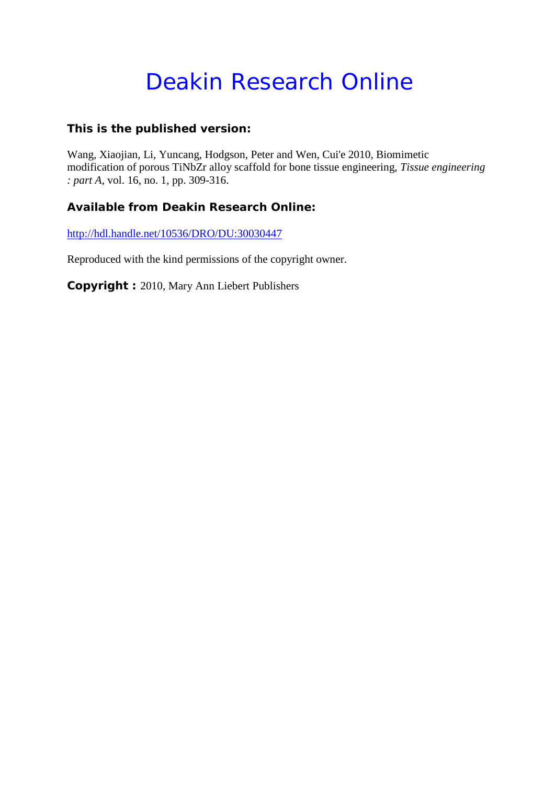# Deakin Research Online

### **This is the published version:**

Wang, Xiaojian, Li, Yuncang, Hodgson, Peter and Wen, Cui'e 2010, Biomimetic modification of porous TiNbZr alloy scaffold for bone tissue engineering*, Tissue engineering : part A*, vol. 16, no. 1, pp. 309-316.

## **Available from Deakin Research Online:**

<http://hdl.handle.net/10536/DRO/DU:30030447>

Reproduced with the kind permissions of the copyright owner.

**Copyright :** 2010, Mary Ann Liebert Publishers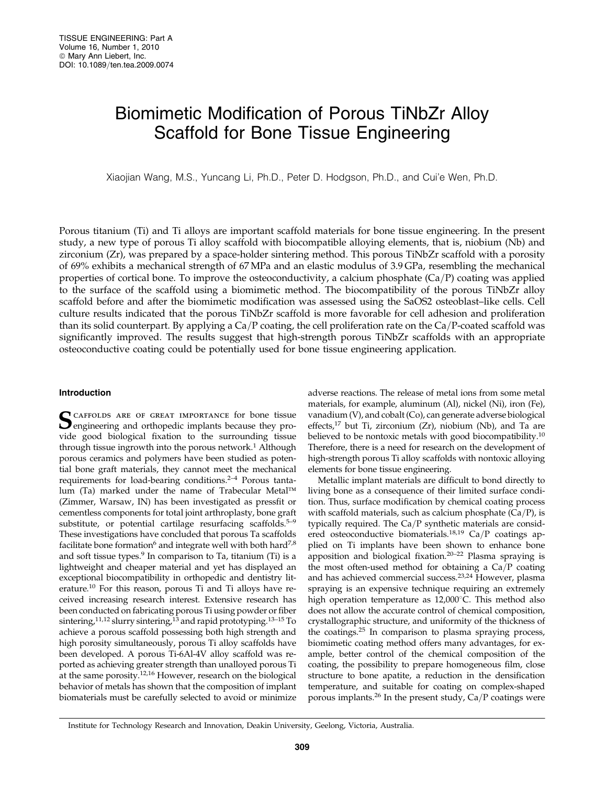## Biomimetic Modification of Porous TiNbZr Alloy Scaffold for Bone Tissue Engineering

Xiaojian Wang, M.S., Yuncang Li, Ph.D., Peter D. Hodgson, Ph.D., and Cui'e Wen, Ph.D.

Porous titanium (Ti) and Ti alloys are important scaffold materials for bone tissue engineering. In the present study, a new type of porous Ti alloy scaffold with biocompatible alloying elements, that is, niobium (Nb) and zirconium (Zr), was prepared by a space-holder sintering method. This porous TiNbZr scaffold with a porosity of 69% exhibits a mechanical strength of 67 MPa and an elastic modulus of 3.9 GPa, resembling the mechanical properties of cortical bone. To improve the osteoconductivity, a calcium phosphate  $(Ca/P)$  coating was applied to the surface of the scaffold using a biomimetic method. The biocompatibility of the porous TiNbZr alloy scaffold before and after the biomimetic modification was assessed using the SaOS2 osteoblast–like cells. Cell culture results indicated that the porous TiNbZr scaffold is more favorable for cell adhesion and proliferation than its solid counterpart. By applying a  $Ca/P$  coating, the cell proliferation rate on the Ca/P-coated scaffold was significantly improved. The results suggest that high-strength porous TiNbZr scaffolds with an appropriate osteoconductive coating could be potentially used for bone tissue engineering application.

#### Introduction

SCAFFOLDS ARE OF GREAT IMPORTANCE for bone tissue vide good biological fixation to the surrounding tissue through tissue ingrowth into the porous network.<sup>1</sup> Although porous ceramics and polymers have been studied as potential bone graft materials, they cannot meet the mechanical requirements for load-bearing conditions.2–4 Porous tantalum (Ta) marked under the name of Trabecular Metal™ (Zimmer, Warsaw, IN) has been investigated as pressfit or cementless components for total joint arthroplasty, bone graft substitute, or potential cartilage resurfacing scaffolds.<sup>5-9</sup> These investigations have concluded that porous Ta scaffolds facilitate bone formation<sup>6</sup> and integrate well with both hard<sup>7,8</sup> and soft tissue types.<sup>9</sup> In comparison to Ta, titanium (Ti) is a lightweight and cheaper material and yet has displayed an exceptional biocompatibility in orthopedic and dentistry literature.10 For this reason, porous Ti and Ti alloys have received increasing research interest. Extensive research has been conducted on fabricating porous Ti using powder or fiber sintering,<sup>11,12</sup> slurry sintering,<sup>13</sup> and rapid prototyping.<sup>13-15</sup> To achieve a porous scaffold possessing both high strength and high porosity simultaneously, porous Ti alloy scaffolds have been developed. A porous Ti-6Al-4V alloy scaffold was reported as achieving greater strength than unalloyed porous Ti at the same porosity.12,16 However, research on the biological behavior of metals has shown that the composition of implant biomaterials must be carefully selected to avoid or minimize adverse reactions. The release of metal ions from some metal materials, for example, aluminum (Al), nickel (Ni), iron (Fe), vanadium (V), and cobalt (Co), can generate adverse biological effects, $^{17}$  but Ti, zirconium (Zr), niobium (Nb), and Ta are believed to be nontoxic metals with good biocompatibility.<sup>10</sup> Therefore, there is a need for research on the development of high-strength porous Ti alloy scaffolds with nontoxic alloying elements for bone tissue engineering.

Metallic implant materials are difficult to bond directly to living bone as a consequence of their limited surface condition. Thus, surface modification by chemical coating process with scaffold materials, such as calcium phosphate  $(Ca/P)$ , is typically required. The  $Ca/P$  synthetic materials are considered osteoconductive biomaterials.<sup>18,19</sup> Ca/P coatings applied on Ti implants have been shown to enhance bone apposition and biological fixation.20–22 Plasma spraying is the most often-used method for obtaining a  $Ca/P$  coating and has achieved commercial success.23,24 However, plasma spraying is an expensive technique requiring an extremely high operation temperature as  $12,000^{\circ}$ C. This method also does not allow the accurate control of chemical composition, crystallographic structure, and uniformity of the thickness of the coatings.25 In comparison to plasma spraying process, biomimetic coating method offers many advantages, for example, better control of the chemical composition of the coating, the possibility to prepare homogeneous film, close structure to bone apatite, a reduction in the densification temperature, and suitable for coating on complex-shaped porous implants.<sup>26</sup> In the present study,  $Ca/P$  coatings were

Institute for Technology Research and Innovation, Deakin University, Geelong, Victoria, Australia.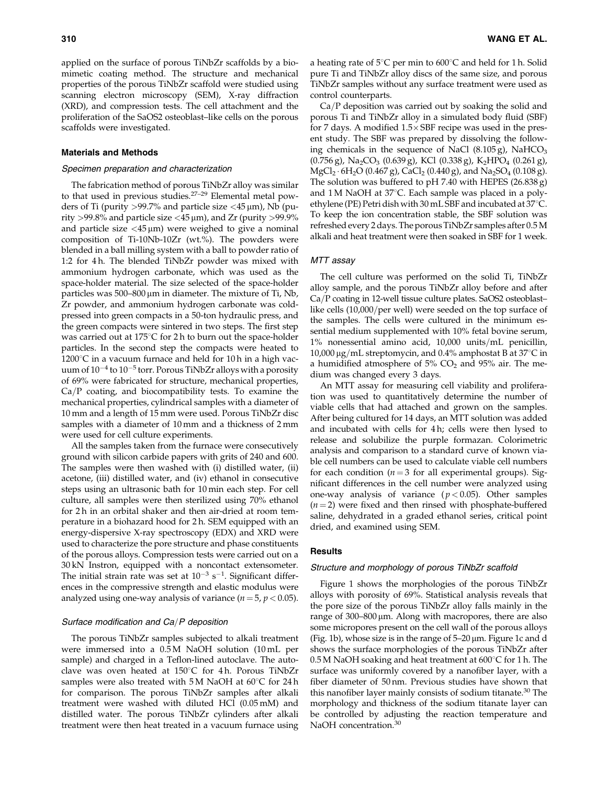applied on the surface of porous TiNbZr scaffolds by a biomimetic coating method. The structure and mechanical properties of the porous TiNbZr scaffold were studied using scanning electron microscopy (SEM), X-ray diffraction (XRD), and compression tests. The cell attachment and the proliferation of the SaOS2 osteoblast–like cells on the porous scaffolds were investigated.

#### Materials and Methods

#### Specimen preparation and characterization

The fabrication method of porous TiNbZr alloy was similar to that used in previous studies.27–29 Elemental metal powders of Ti (purity  $>99.7\%$  and particle size  $<$ 45  $\mu$ m), Nb (purity >99.8% and particle size <45  $\mu$ m), and Zr (purity >99.9% and particle size  $\langle 45 \mu m \rangle$  were weighed to give a nominal composition of Ti-10Nb-10Zr (wt.%). The powders were blended in a ball milling system with a ball to powder ratio of 1:2 for 4h. The blended TiNbZr powder was mixed with ammonium hydrogen carbonate, which was used as the space-holder material. The size selected of the space-holder particles was  $500-800 \,\mu m$  in diameter. The mixture of Ti, Nb, Zr powder, and ammonium hydrogen carbonate was coldpressed into green compacts in a 50-ton hydraulic press, and the green compacts were sintered in two steps. The first step was carried out at 175 $\mathrm{C}$  for 2h to burn out the space-holder particles. In the second step the compacts were heated to  $1200^{\circ}$ C in a vacuum furnace and held for 10 h in a high vacuum of  $10^{-4}$  to  $10^{-5}$  torr. Porous TiNbZr alloys with a porosity of 69% were fabricated for structure, mechanical properties,  $Ca/P$  coating, and biocompatibility tests. To examine the mechanical properties, cylindrical samples with a diameter of 10 mm and a length of 15 mm were used. Porous TiNbZr disc samples with a diameter of 10 mm and a thickness of 2 mm were used for cell culture experiments.

All the samples taken from the furnace were consecutively ground with silicon carbide papers with grits of 240 and 600. The samples were then washed with (i) distilled water, (ii) acetone, (iii) distilled water, and (iv) ethanol in consecutive steps using an ultrasonic bath for 10 min each step. For cell culture, all samples were then sterilized using 70% ethanol for 2h in an orbital shaker and then air-dried at room temperature in a biohazard hood for 2 h. SEM equipped with an energy-dispersive X-ray spectroscopy (EDX) and XRD were used to characterize the pore structure and phase constituents of the porous alloys. Compression tests were carried out on a 30 kN Instron, equipped with a noncontact extensometer. The initial strain rate was set at  $10^{-3}$  s<sup>-1</sup>. Significant differences in the compressive strength and elastic modulus were analyzed using one-way analysis of variance ( $n = 5$ ,  $p < 0.05$ ).

#### Surface modification and  $Ca/P$  deposition

The porous TiNbZr samples subjected to alkali treatment were immersed into a 0.5 M NaOH solution (10 mL per sample) and charged in a Teflon-lined autoclave. The autoclave was oven heated at  $150^{\circ}$ C for 4 h. Porous TiNbZr samples were also treated with  $5M$  NaOH at  $60^{\circ}$ C for 24h for comparison. The porous TiNbZr samples after alkali treatment were washed with diluted HCl (0.05 mM) and distilled water. The porous TiNbZr cylinders after alkali treatment were then heat treated in a vacuum furnace using a heating rate of  $5^{\circ}$ C per min to  $600^{\circ}$ C and held for 1 h. Solid pure Ti and TiNbZr alloy discs of the same size, and porous TiNbZr samples without any surface treatment were used as control counterparts.

 $Ca/P$  deposition was carried out by soaking the solid and porous Ti and TiNbZr alloy in a simulated body fluid (SBF) for 7 days. A modified  $1.5 \times$  SBF recipe was used in the present study. The SBF was prepared by dissolving the following chemicals in the sequence of NaCl  $(8.105 g)$ , NaHCO<sub>3</sub>  $(0.756 \text{ g})$ , Na<sub>2</sub>CO<sub>3</sub>  $(0.639 \text{ g})$ , KCl  $(0.338 \text{ g})$ , K<sub>2</sub>HPO<sub>4</sub>  $(0.261 \text{ g})$ ,  $MgCl_2 \cdot 6H_2O$  (0.467 g), CaCl<sub>2</sub> (0.440 g), and Na<sub>2</sub>SO<sub>4</sub> (0.108 g). The solution was buffered to pH 7.40 with HEPES (26.838 g) and 1 M NaOH at  $37^{\circ}$ C. Each sample was placed in a polyethylene (PE) Petri dish with 30 mL SBF and incubated at  $37^{\circ}$ C. To keep the ion concentration stable, the SBF solution was refreshed every 2 days. The porous TiNbZr samples after 0.5 M alkali and heat treatment were then soaked in SBF for 1 week.

#### MTT assay

The cell culture was performed on the solid Ti, TiNbZr alloy sample, and the porous TiNbZr alloy before and after Ca/P coating in 12-well tissue culture plates. SaOS2 osteoblastlike cells (10,000/per well) were seeded on the top surface of the samples. The cells were cultured in the minimum essential medium supplemented with 10% fetal bovine serum,  $1\%$  nonessential amino acid,  $10,000$  units/mL penicillin, 10,000  $\mu$ g/mL streptomycin, and 0.4% amphostat B at 37°C in a humidified atmosphere of  $5\%$  CO<sub>2</sub> and  $95\%$  air. The medium was changed every 3 days.

An MTT assay for measuring cell viability and proliferation was used to quantitatively determine the number of viable cells that had attached and grown on the samples. After being cultured for 14 days, an MTT solution was added and incubated with cells for 4h; cells were then lysed to release and solubilize the purple formazan. Colorimetric analysis and comparison to a standard curve of known viable cell numbers can be used to calculate viable cell numbers for each condition ( $n = 3$  for all experimental groups). Significant differences in the cell number were analyzed using one-way analysis of variance ( $p < 0.05$ ). Other samples  $(n = 2)$  were fixed and then rinsed with phosphate-buffered saline, dehydrated in a graded ethanol series, critical point dried, and examined using SEM.

#### **Results**

#### Structure and morphology of porous TiNbZr scaffold

Figure 1 shows the morphologies of the porous TiNbZr alloys with porosity of 69%. Statistical analysis reveals that the pore size of the porous TiNbZr alloy falls mainly in the range of 300–800 µm. Along with macropores, there are also some micropores present on the cell wall of the porous alloys (Fig. 1b), whose size is in the range of  $5-20 \mu m$ . Figure 1c and d shows the surface morphologies of the porous TiNbZr after  $0.5$  M NaOH soaking and heat treatment at  $600^{\circ}$ C for 1 h. The surface was uniformly covered by a nanofiber layer, with a fiber diameter of 50 nm. Previous studies have shown that this nanofiber layer mainly consists of sodium titanate.<sup>30</sup> The morphology and thickness of the sodium titanate layer can be controlled by adjusting the reaction temperature and NaOH concentration.<sup>30</sup>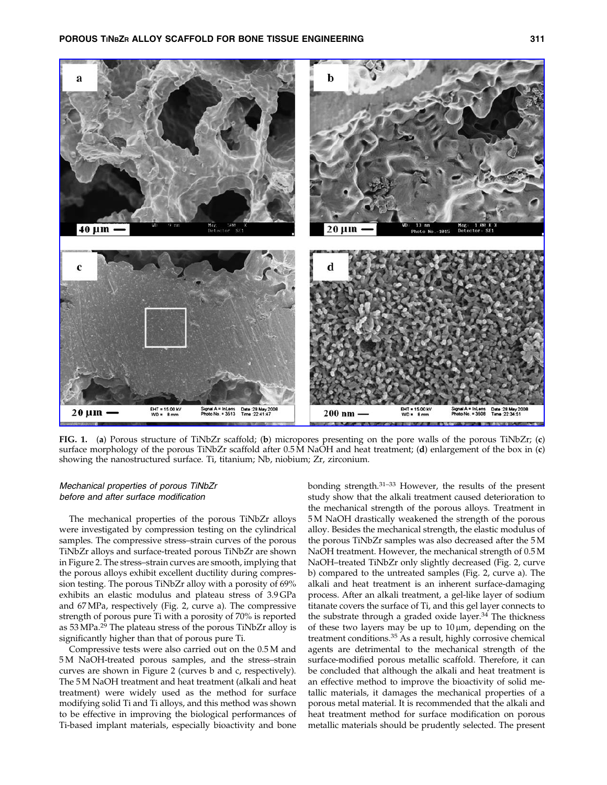

FIG. 1. (a) Porous structure of TiNbZr scaffold; (b) micropores presenting on the pore walls of the porous TiNbZr; (c) surface morphology of the porous TiNbZr scaffold after 0.5 M NaOH and heat treatment; (d) enlargement of the box in (c) showing the nanostructured surface. Ti, titanium; Nb, niobium; Zr, zirconium.

#### Mechanical properties of porous TiNbZr before and after surface modification

The mechanical properties of the porous TiNbZr alloys were investigated by compression testing on the cylindrical samples. The compressive stress–strain curves of the porous TiNbZr alloys and surface-treated porous TiNbZr are shown in Figure 2. The stress–strain curves are smooth, implying that the porous alloys exhibit excellent ductility during compression testing. The porous TiNbZr alloy with a porosity of 69% exhibits an elastic modulus and plateau stress of 3.9 GPa and 67 MPa, respectively (Fig. 2, curve a). The compressive strength of porous pure Ti with a porosity of 70% is reported as 53 MPa.<sup>29</sup> The plateau stress of the porous TiNbZr alloy is significantly higher than that of porous pure Ti.

Compressive tests were also carried out on the 0.5 M and 5 M NaOH-treated porous samples, and the stress–strain curves are shown in Figure 2 (curves b and c, respectively). The 5 M NaOH treatment and heat treatment (alkali and heat treatment) were widely used as the method for surface modifying solid Ti and Ti alloys, and this method was shown to be effective in improving the biological performances of Ti-based implant materials, especially bioactivity and bone bonding strength.31–33 However, the results of the present study show that the alkali treatment caused deterioration to the mechanical strength of the porous alloys. Treatment in 5 M NaOH drastically weakened the strength of the porous alloy. Besides the mechanical strength, the elastic modulus of the porous TiNbZr samples was also decreased after the 5 M NaOH treatment. However, the mechanical strength of 0.5 M NaOH–treated TiNbZr only slightly decreased (Fig. 2, curve b) compared to the untreated samples (Fig. 2, curve a). The alkali and heat treatment is an inherent surface-damaging process. After an alkali treatment, a gel-like layer of sodium titanate covers the surface of Ti, and this gel layer connects to the substrate through a graded oxide layer. $34$  The thickness of these two layers may be up to  $10 \mu m$ , depending on the treatment conditions.<sup>35</sup> As a result, highly corrosive chemical agents are detrimental to the mechanical strength of the surface-modified porous metallic scaffold. Therefore, it can be concluded that although the alkali and heat treatment is an effective method to improve the bioactivity of solid metallic materials, it damages the mechanical properties of a porous metal material. It is recommended that the alkali and heat treatment method for surface modification on porous metallic materials should be prudently selected. The present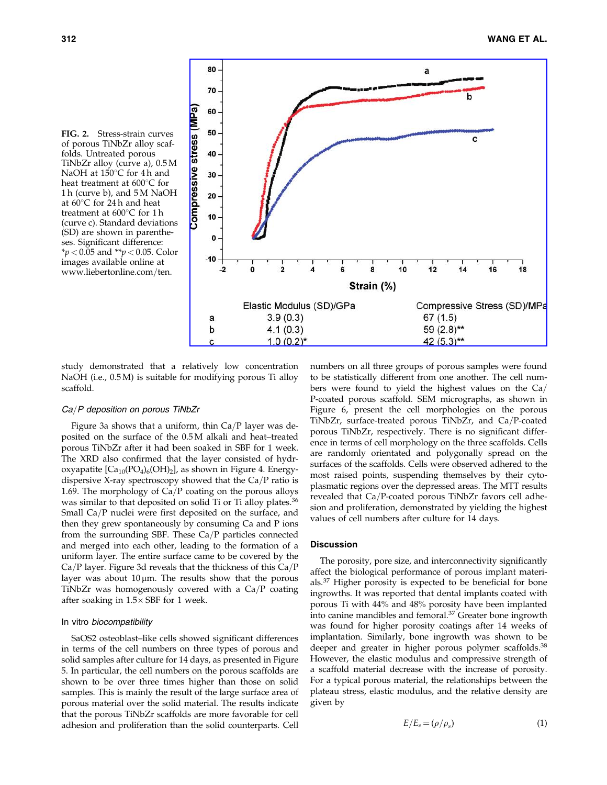



study demonstrated that a relatively low concentration NaOH (i.e., 0.5 M) is suitable for modifying porous Ti alloy scaffold.

#### Ca/P deposition on porous TiNbZr

Figure 3a shows that a uniform, thin  $Ca/P$  layer was deposited on the surface of the 0.5 M alkali and heat–treated porous TiNbZr after it had been soaked in SBF for 1 week. The XRD also confirmed that the layer consisted of hydroxyapatite  $[Ca_{10}(PO_4)_6(OH)_2]$ , as shown in Figure 4. Energydispersive X-ray spectroscopy showed that the  $Ca/P$  ratio is 1.69. The morphology of  $Ca/P$  coating on the porous alloys was similar to that deposited on solid Ti or Ti alloy plates.<sup>36</sup> Small Ca/P nuclei were first deposited on the surface, and then they grew spontaneously by consuming Ca and P ions from the surrounding SBF. These  $Ca/P$  particles connected and merged into each other, leading to the formation of a uniform layer. The entire surface came to be covered by the  $Ca/P$  layer. Figure 3d reveals that the thickness of this  $Ca/P$ layer was about  $10 \mu m$ . The results show that the porous TiNbZr was homogenously covered with a  $Ca/P$  coating after soaking in  $1.5\times$  SBF for 1 week.

#### In vitro biocompatibility

SaOS2 osteoblast–like cells showed significant differences in terms of the cell numbers on three types of porous and solid samples after culture for 14 days, as presented in Figure 5. In particular, the cell numbers on the porous scaffolds are shown to be over three times higher than those on solid samples. This is mainly the result of the large surface area of porous material over the solid material. The results indicate that the porous TiNbZr scaffolds are more favorable for cell adhesion and proliferation than the solid counterparts. Cell numbers on all three groups of porous samples were found to be statistically different from one another. The cell numbers were found to yield the highest values on the  $Ca/$ P-coated porous scaffold. SEM micrographs, as shown in Figure 6, present the cell morphologies on the porous TiNbZr, surface-treated porous TiNbZr, and Ca/P-coated porous TiNbZr, respectively. There is no significant difference in terms of cell morphology on the three scaffolds. Cells are randomly orientated and polygonally spread on the surfaces of the scaffolds. Cells were observed adhered to the most raised points, suspending themselves by their cytoplasmatic regions over the depressed areas. The MTT results revealed that  $Ca/P$ -coated porous TiNbZr favors cell adhesion and proliferation, demonstrated by yielding the highest values of cell numbers after culture for 14 days.

#### **Discussion**

The porosity, pore size, and interconnectivity significantly affect the biological performance of porous implant materials.<sup>37</sup> Higher porosity is expected to be beneficial for bone ingrowths. It was reported that dental implants coated with porous Ti with 44% and 48% porosity have been implanted into canine mandibles and femoral.<sup>37</sup> Greater bone ingrowth was found for higher porosity coatings after 14 weeks of implantation. Similarly, bone ingrowth was shown to be deeper and greater in higher porous polymer scaffolds.<sup>38</sup> However, the elastic modulus and compressive strength of a scaffold material decrease with the increase of porosity. For a typical porous material, the relationships between the plateau stress, elastic modulus, and the relative density are given by

$$
E/E_s = (\rho/\rho_s) \tag{1}
$$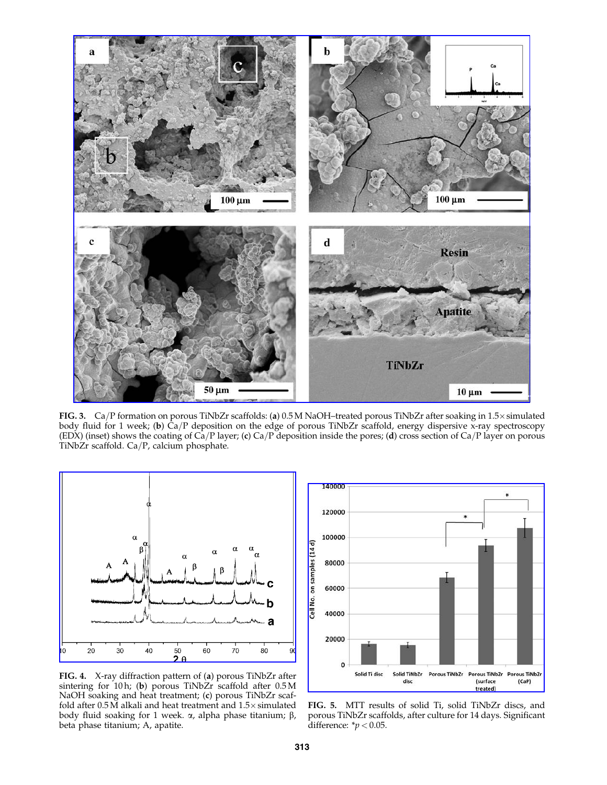

FIG. 3.  $Ca/P$  formation on porous TiNbZr scaffolds: (a) 0.5 M NaOH–treated porous TiNbZr after soaking in 1.5× simulated body fluid for 1 week; (b)  $Ca/P$  deposition on the edge of porous TiNbZr scaffold, energy dispersive x-ray spectroscopy (EDX) (inset) shows the coating of  $\hat{Ca}/P$  layer; (c)  $Ca/P$  deposition inside the pores; (d) cross section of  $Ca/P$  layer on porous TiNbZr scaffold. Ca/P, calcium phosphate.



FIG. 4. X-ray diffraction pattern of (a) porous TiNbZr after sintering for 10 h; (b) porous TiNbZr scaffold after 0.5 M NaOH soaking and heat treatment; (c) porous TiNbZr scaffold after  $0.5\,\mathrm{M}$  alkali and heat treatment and  $1.5\times$  simulated body fluid soaking for 1 week. *α*, alpha phase titanium; β, beta phase titanium; A, apatite.



FIG. 5. MTT results of solid Ti, solid TiNbZr discs, and porous TiNbZr scaffolds, after culture for 14 days. Significant difference:  $\frac{*}{p}$  < 0.05.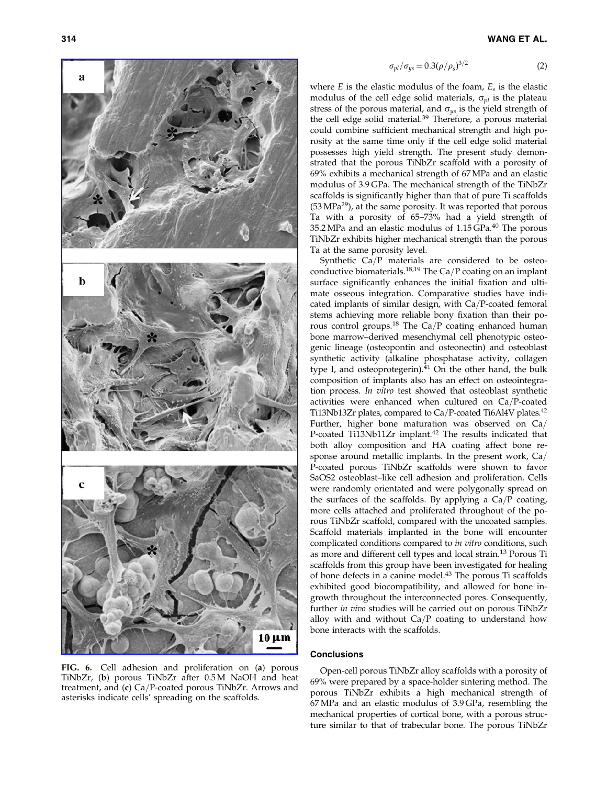

FIG. 6. Cell adhesion and proliferation on (a) porous TiNbZr, (b) porous TiNbZr after 0.5 M NaOH and heat treatment, and  $(c)$  Ca/P-coated porous TiNbZr. Arrows and asterisks indicate cells' spreading on the scaffolds.

$$
\sigma_{pl}/\sigma_{ys} = 0.3(\rho/\rho_s)^{3/2} \tag{2}
$$

where  $E$  is the elastic modulus of the foam,  $E_s$  is the elastic modulus of the cell edge solid materials,  $\sigma_{pl}$  is the plateau stress of the porous material, and  $\sigma_{\gamma s}$  is the yield strength of the cell edge solid material.<sup>39</sup> Therefore, a porous material could combine sufficient mechanical strength and high porosity at the same time only if the cell edge solid material possesses high yield strength. The present study demonstrated that the porous TiNbZr scaffold with a porosity of 69% exhibits a mechanical strength of 67 MPa and an elastic modulus of 3.9 GPa. The mechanical strength of the TiNbZr scaffolds is significantly higher than that of pure Ti scaffolds (53 MPa29), at the same porosity. It was reported that porous Ta with a porosity of 65–73% had a yield strength of 35.2 MPa and an elastic modulus of 1.15 GPa.40 The porous TiNbZr exhibits higher mechanical strength than the porous Ta at the same porosity level.

Synthetic  $Ca/P$  materials are considered to be osteoconductive biomaterials.<sup>18,19</sup> The Ca/P coating on an implant surface significantly enhances the initial fixation and ultimate osseous integration. Comparative studies have indicated implants of similar design, with  $Ca/P$ -coated femoral stems achieving more reliable bony fixation than their porous control groups.<sup>18</sup> The Ca/P coating enhanced human bone marrow–derived mesenchymal cell phenotypic osteogenic lineage (osteopontin and osteonectin) and osteoblast synthetic activity (alkaline phosphatase activity, collagen type I, and osteoprotegerin). $41$  On the other hand, the bulk composition of implants also has an effect on osteointegration process. In vitro test showed that osteoblast synthetic activities were enhanced when cultured on  $Ca/P$ -coated Ti13Nb13Zr plates, compared to Ca/P-coated Ti6Al4V plates.<sup>42</sup> Further, higher bone maturation was observed on  $Ca/$ P-coated Ti13Nb11Zr implant.<sup>42</sup> The results indicated that both alloy composition and HA coating affect bone response around metallic implants. In the present work,  $Ca/$ P-coated porous TiNbZr scaffolds were shown to favor SaOS2 osteoblast–like cell adhesion and proliferation. Cells were randomly orientated and were polygonally spread on the surfaces of the scaffolds. By applying a  $Ca/P$  coating, more cells attached and proliferated throughout of the porous TiNbZr scaffold, compared with the uncoated samples. Scaffold materials implanted in the bone will encounter complicated conditions compared to in vitro conditions, such as more and different cell types and local strain.<sup>13</sup> Porous Ti scaffolds from this group have been investigated for healing of bone defects in a canine model.<sup>43</sup> The porous Ti scaffolds exhibited good biocompatibility, and allowed for bone ingrowth throughout the interconnected pores. Consequently, further in vivo studies will be carried out on porous TiNbZr alloy with and without  $Ca/P$  coating to understand how bone interacts with the scaffolds.

#### **Conclusions**

Open-cell porous TiNbZr alloy scaffolds with a porosity of 69% were prepared by a space-holder sintering method. The porous TiNbZr exhibits a high mechanical strength of 67 MPa and an elastic modulus of 3.9 GPa, resembling the mechanical properties of cortical bone, with a porous structure similar to that of trabecular bone. The porous TiNbZr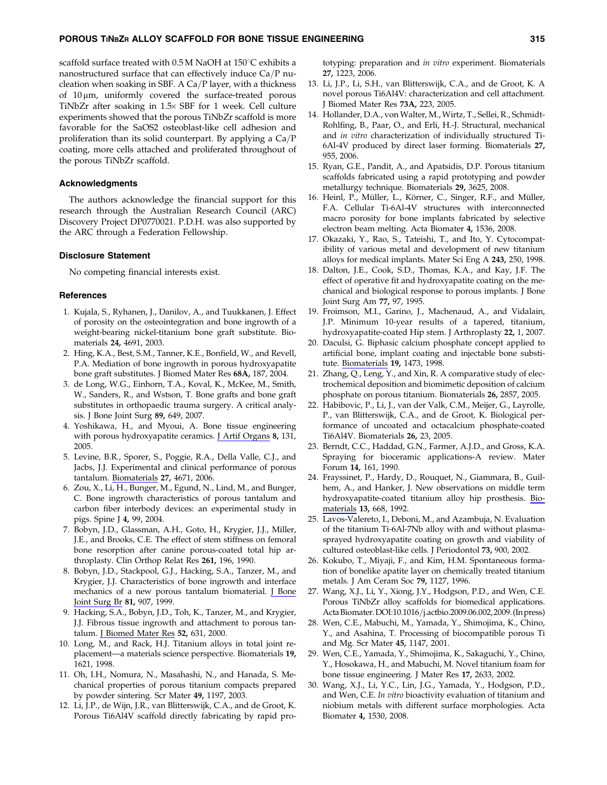scaffold surface treated with  $0.5 M$  NaOH at  $150^{\circ}$ C exhibits a nanostructured surface that can effectively induce  $Ca/P$  nucleation when soaking in SBF. A Ca/P layer, with a thickness of  $10 \mu m$ , uniformly covered the surface-treated porous TiNbZr after soaking in 1.5 $\times$  SBF for 1 week. Cell culture experiments showed that the porous TiNbZr scaffold is more favorable for the SaOS2 osteoblast-like cell adhesion and proliferation than its solid counterpart. By applying a  $Ca/P$ coating, more cells attached and proliferated throughout of the porous TiNbZr scaffold.

#### Acknowledgments

The authors acknowledge the financial support for this research through the Australian Research Council (ARC) Discovery Project DP0770021. P.D.H. was also supported by the ARC through a Federation Fellowship.

#### Disclosure Statement

No competing financial interests exist.

#### **References**

- 1. Kujala, S., Ryhanen, J., Danilov, A., and Tuukkanen, J. Effect of porosity on the osteointegration and bone ingrowth of a weight-bearing nickel-titanium bone graft substitute. Biomaterials 24, 4691, 2003.
- 2. Hing, K.A., Best, S.M., Tanner, K.E., Bonfield, W., and Revell, P.A. Mediation of bone ingrowth in porous hydroxyapatite bone graft substitutes. J Biomed Mater Res 68A, 187, 2004.
- 3. de Long, W.G., Einhorn, T.A., Koval, K., McKee, M., Smith, W., Sanders, R., and Wstson, T. Bone grafts and bone graft substitutes in orthopaedic trauma surgery. A critical analysis. J Bone Joint Surg 89, 649, 2007.
- 4. Yoshikawa, H., and Myoui, A. Bone tissue engineering with porous hydroxyapatite ceramics. J Artif Organs 8, 131, 2005.
- 5. Levine, B.R., Sporer, S., Poggie, R.A., Della Valle, C.J., and Jacbs, J.J. Experimental and clinical performance of porous tantalum. Biomaterials 27, 4671, 2006.
- 6. Zou, X., Li, H., Bunger, M., Egund, N., Lind, M., and Bunger, C. Bone ingrowth characteristics of porous tantalum and carbon fiber interbody devices: an experimental study in pigs. Spine J 4, 99, 2004.
- 7. Bobyn, J.D., Glassman, A.H., Goto, H., Krygier, J.J., Miller, J.E., and Brooks, C.E. The effect of stem stiffness on femoral bone resorption after canine porous-coated total hip arthroplasty. Clin Orthop Relat Res 261, 196, 1990.
- 8. Bobyn, J.D., Stackpool, G.J., Hacking, S.A., Tanzer, M., and Krygier, J.J. Characteristics of bone ingrowth and interface mechanics of a new porous tantalum biomaterial. *L* Bone Joint Surg Br 81, 907, 1999.
- 9. Hacking, S.A., Bobyn, J.D., Toh, K., Tanzer, M., and Krygier, J.J. Fibrous tissue ingrowth and attachment to porous tantalum. J Biomed Mater Res 52, 631, 2000.
- 10. Long, M., and Rack, H.J. Titanium alloys in total joint replacement—a materials science perspective. Biomaterials 19, 1621, 1998.
- 11. Oh, I.H., Nomura, N., Masahashi, N., and Hanada, S. Mechanical properties of porous titanium compacts prepared by powder sintering. Scr Mater 49, 1197, 2003.
- 12. Li, J.P., de Wijn, J.R., van Blitterswijk, C.A., and de Groot, K. Porous Ti6Al4V scaffold directly fabricating by rapid pro-

totyping: preparation and in vitro experiment. Biomaterials 27, 1223, 2006.

- 13. Li, J.P., Li, S.H., van Blitterswijk, C.A., and de Groot, K. A novel porous Ti6Al4V: characterization and cell attachment. J Biomed Mater Res 73A, 223, 2005.
- 14. Hollander, D.A., von Walter, M., Wirtz, T., Sellei, R., Schmidt-Rohlfing, B., Paar, O., and Erli, H.-J. Structural, mechanical and in vitro characterization of individually structured Ti-6Al-4V produced by direct laser forming. Biomaterials 27, 955, 2006.
- 15. Ryan, G.E., Pandit, A., and Apatsidis, D.P. Porous titanium scaffolds fabricated using a rapid prototyping and powder metallurgy technique. Biomaterials 29, 3625, 2008.
- 16. Heinl, P., Müller, L., Körner, C., Singer, R.F., and Müller, F.A. Cellular Ti-6Al-4V structures with interconnected macro porosity for bone implants fabricated by selective electron beam melting. Acta Biomater 4, 1536, 2008.
- 17. Okazaki, Y., Rao, S., Tateishi, T., and Ito, Y. Cytocompatibility of various metal and development of new titanium alloys for medical implants. Mater Sci Eng A 243, 250, 1998.
- 18. Dalton, J.E., Cook, S.D., Thomas, K.A., and Kay, J.F. The effect of operative fit and hydroxyapatite coating on the mechanical and biological response to porous implants. J Bone Joint Surg Am 77, 97, 1995.
- 19. Froimson, M.I., Garino, J., Machenaud, A., and Vidalain, J.P. Minimum 10-year results of a tapered, titanium, hydroxyapatite-coated Hip stem. J Arthroplasty 22, 1, 2007.
- 20. Daculsi, G. Biphasic calcium phosphate concept applied to artificial bone, implant coating and injectable bone substitute. Biomaterials 19, 1473, 1998.
- 21. Zhang, Q., Leng, Y., and Xin, R. A comparative study of electrochemical deposition and biomimetic deposition of calcium phosphate on porous titanium. Biomaterials 26, 2857, 2005.
- 22. Habibovic, P., Li, J., van der Valk, C.M., Meijer, G., Layrolle, P., van Blitterswijk, C.A., and de Groot, K. Biological performance of uncoated and octacalcium phosphate-coated Ti6Al4V. Biomaterials 26, 23, 2005.
- 23. Berndt, C.C., Haddad, G.N., Farmer, A.J.D., and Gross, K.A. Spraying for bioceramic applications-A review. Mater Forum 14, 161, 1990.
- 24. Frayssinet, P., Hardy, D., Rouquet, N., Giammara, B., Guilhem, A., and Hanker, J. New observations on middle term hydroxyapatite-coated titanium alloy hip prosthesis. Biomaterials 13, 668, 1992.
- 25. Lavos-Valereto, I., Deboni, M., and Azambuja, N. Evaluation of the titanium Ti-6Al-7Nb alloy with and without plasmasprayed hydroxyapatite coating on growth and viability of cultured osteoblast-like cells. J Periodontol 73, 900, 2002.
- 26. Kokubo, T., Miyaji, F., and Kim, H.M. Spontaneous formation of bonelike apatite layer on chemically treated titanium metals. J Am Ceram Soc 79, 1127, 1996.
- 27. Wang, X.J., Li, Y., Xiong, J.Y., Hodgson, P.D., and Wen, C.E. Porous TiNbZr alloy scaffolds for biomedical applications. Acta Biomater. DOI:10.1016/j.actbio.2009.06.002, 2009. (In press)
- 28. Wen, C.E., Mabuchi, M., Yamada, Y., Shimojima, K., Chino, Y., and Asahina, T. Processing of biocompatible porous Ti and Mg. Scr Mater 45, 1147, 2001.
- 29. Wen, C.E., Yamada, Y., Shimojima, K., Sakaguchi, Y., Chino, Y., Hosokawa, H., and Mabuchi, M. Novel titanium foam for bone tissue engineering. J Mater Res 17, 2633, 2002.
- 30. Wang, X.J., Li, Y.C., Lin, J.G., Yamada, Y., Hodgson, P.D., and Wen, C.E. In vitro bioactivity evaluation of titanium and niobium metals with different surface morphologies. Acta Biomater 4, 1530, 2008.